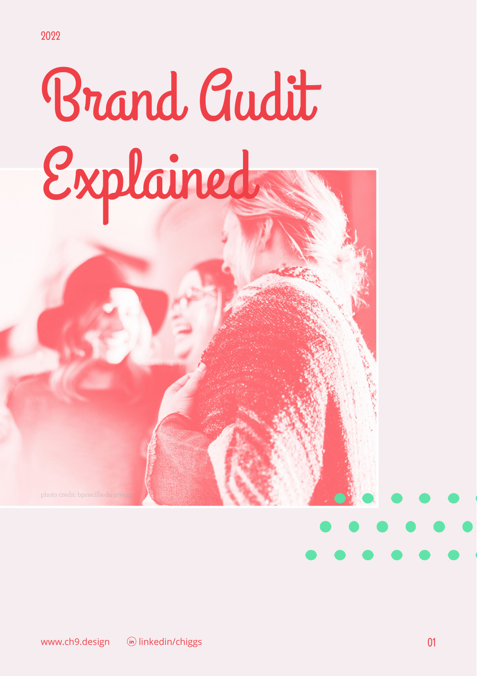# Brand Audit Explained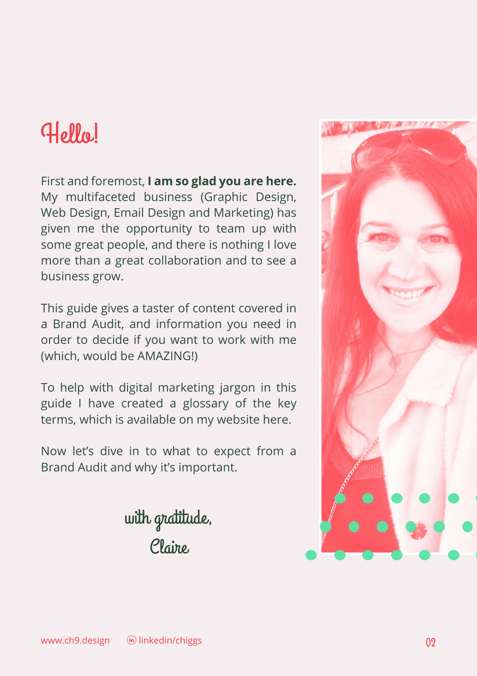#### Hello!

First and foremost, **I am so glad you are here.** My multifaceted business (Graphic Design, Web Design, Email Design and Marketing) has given me the opportunity to team up with some great people, and there is nothing I love more than a great collaboration and to see a business grow.

This guide gives a taster of content covered in a Brand Audit, and information you need in order to decide if you want to work with me (which, would be AMAZING!)

To help with digital marketing jargon in this guide I have created a glossary of the key terms, which is available on my website [here.](https://www.ch9.design/digitalmarketingglossary)

Now let's dive in to what to expect from a Brand Audit and why it's important.



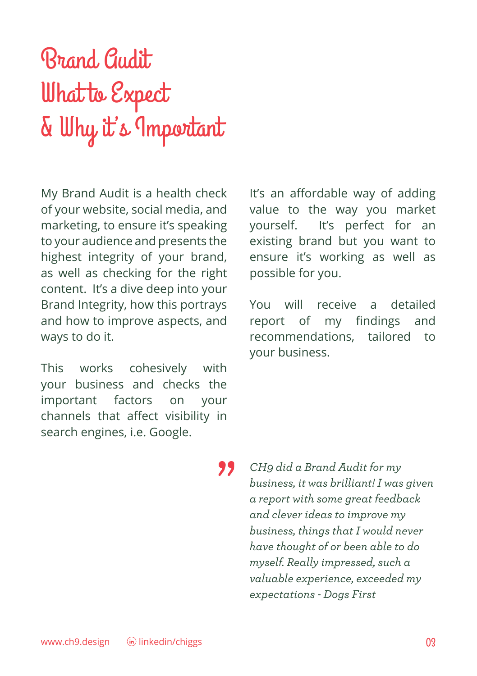## Brand Audit What to Expect & Why it's Important

My Brand Audit is a health check of your website, social media, and marketing, to ensure it's speaking to your audience and presents the highest integrity of your brand, as well as checking for the right content. It's a dive deep into your Brand Integrity, how this portrays and how to improve aspects, and ways to do it.

This works cohesively with your business and checks the important factors on your channels that affect visibility in search engines, i.e. Google.

"

It's an affordable way of adding value to the way you market yourself. It's perfect for an existing brand but you want to ensure it's working as well as possible for you.

You will receive a detailed report of my findings and recommendations, tailored to your business.

*CH9 did a Brand Audit for my business, it was brilliant! I was given a report with some great feedback and clever ideas to improve my business, things that I would never have thought of or been able to do myself. Really impressed, such a valuable experience, exceeded my expectations - Dogs First*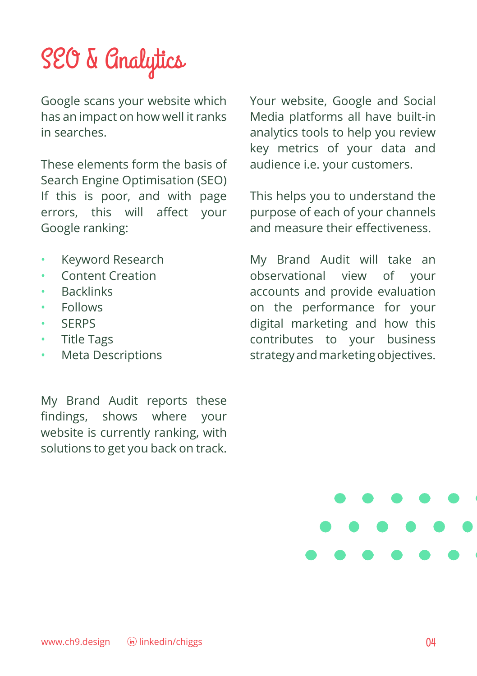## SEO & Analytics

Google scans your website which has an impact on how well it ranks in searches.

These elements form the basis of Search Engine Optimisation (SEO) If this is poor, and with page errors, this will affect your Google ranking:

- Keyword Research
- Content Creation
- **Backlinks**
- Follows
- SERPS
- Title Tags
- Meta Descriptions

My Brand Audit reports these findings, shows where your website is currently ranking, with solutions to get you back on track. Your website, Google and Social Media platforms all have built-in analytics tools to help you review key metrics of your data and audience i.e. your customers.

This helps you to understand the purpose of each of your channels and measure their effectiveness.

My Brand Audit will take an observational view of your accounts and provide evaluation on the performance for your digital marketing and how this contributes to your business strategy and marketing objectives.

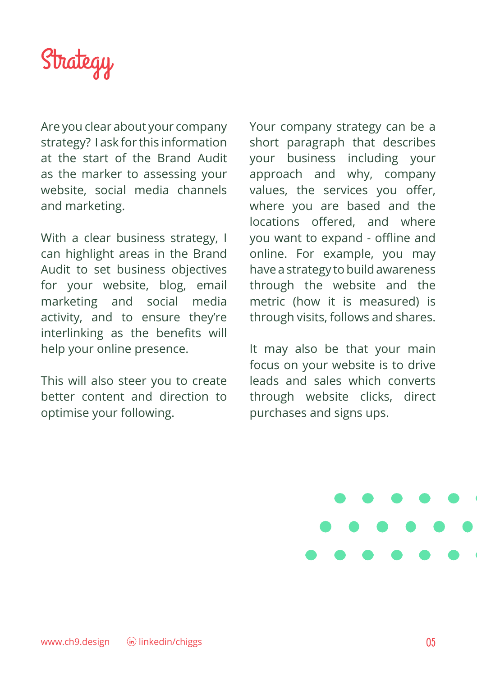

Are you clear about your company strategy? I ask for this information at the start of the Brand Audit as the marker to assessing your website, social media channels and marketing.

With a clear business strategy, I can highlight areas in the Brand Audit to set business objectives for your website, blog, email marketing and social media activity, and to ensure they're interlinking as the benefits will help your online presence.

This will also steer you to create better content and direction to optimise your following.

Your company strategy can be a short paragraph that describes your business including your approach and why, company values, the services you offer, where you are based and the locations offered, and where you want to expand - offline and online. For example, you may have a strategy to build awareness through the website and the metric (how it is measured) is through visits, follows and shares.

It may also be that your main focus on your website is to drive leads and sales which converts through website clicks, direct purchases and signs ups.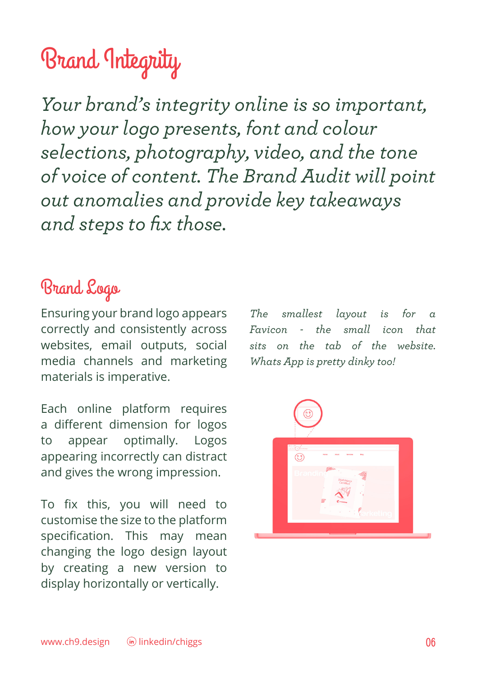## Brand Integrity

*Your brand's integrity online is so important, how your logo presents, font and colour selections, photography, video, and the tone of voice of content. The Brand Audit will point out anomalies and provide key takeaways and steps to fix those.*

#### Brand Logo

Ensuring your brand logo appears correctly and consistently across websites, email outputs, social media channels and marketing materials is imperative.

Each online platform requires a different dimension for logos to appear optimally. Logos appearing incorrectly can distract and gives the wrong impression.

To fix this, you will need to customise the size to the platform specification. This may mean changing the logo design layout by creating a new version to display horizontally or vertically.

*The smallest layout is for a Favicon - the small icon that sits on the tab of the website. Whats App is pretty dinky too!*

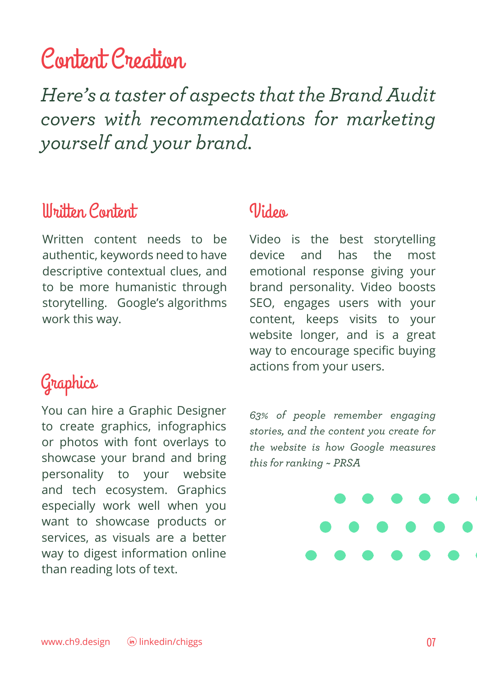#### Content Creation

*Here's a taster of aspects that the Brand Audit covers with recommendations for marketing yourself and your brand.*

#### Written Content Video

Written content needs to be authentic, keywords need to have descriptive contextual clues, and to be more humanistic through storytelling. Google's algorithms work this way.

#### Graphics

You can hire a Graphic Designer to create graphics, infographics or photos with font overlays to showcase your brand and bring personality to your website and tech ecosystem. Graphics especially work well when you want to showcase products or services, as visuals are a better way to digest information online than reading lots of text.

Video is the best storytelling device and has the most emotional response giving your brand personality. Video boosts SEO, engages users with your content, keeps visits to your website longer, and is a great way to encourage specific buying actions from your users.

*63% of people remember engaging stories, and the content you create for the website is how Google measures this for ranking ~ PRSA*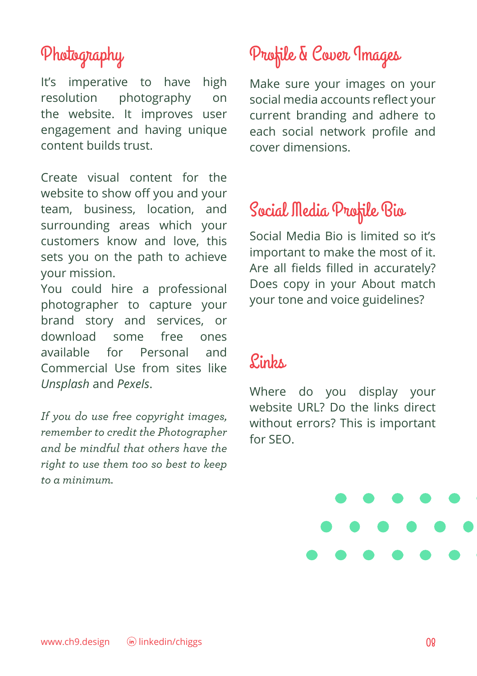#### Photography

It's imperative to have high resolution photography on the website. It improves user engagement and having unique content builds trust.

Create visual content for the website to show off you and your team, business, location, and surrounding areas which your customers know and love, this sets you on the path to achieve your mission.

You could hire a professional photographer to capture your brand story and services, or download some free ones available for Personal and Commercial Use from sites like *Unsplash* and *Pexels*.

*If you do use free copyright images, remember to credit the Photographer and be mindful that others have the right to use them too so best to keep to a minimum.*

### Profile & Cover Images

Make sure your images on your social media accounts reflect your current branding and adhere to each social network profile and cover dimensions.

#### Social Media Profile Bio

Social Media Bio is limited so it's important to make the most of it. Are all fields filled in accurately? Does copy in your About match your tone and voice guidelines?

#### $P_{\text{in}}$

Where do you display your website URL? Do the links direct without errors? This is important for SEO.